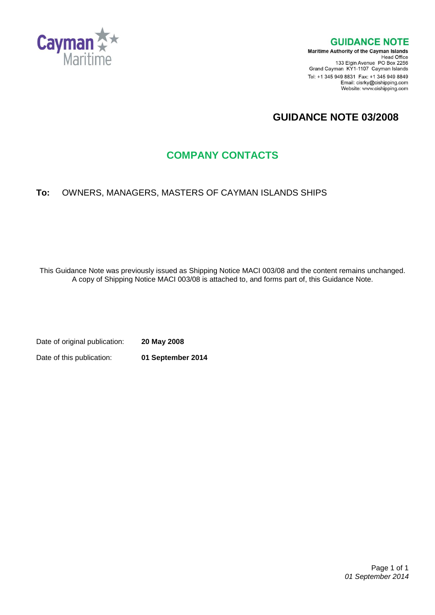

#### **GUIDANCE NOTE**

**Maritime Authority of the Cayman Islands** Head Office<br>Head Office<br>133 Elgin Avenue PO Box 2256 Grand Cayman KY1-1107 Cayman Islands Tel: +1 345 949 8831 Fax: +1 345 949 8849 Email: cisrky@cishipping.com Website: www.cishipping.com

# **GUIDANCE NOTE 03/2008**

# **COMPANY CONTACTS**

### **To:** OWNERS, MANAGERS, MASTERS OF CAYMAN ISLANDS SHIPS

This Guidance Note was previously issued as Shipping Notice MACI 003/08 and the content remains unchanged. A copy of Shipping Notice MACI 003/08 is attached to, and forms part of, this Guidance Note.

Date of original publication: **20 May 2008** Date of this publication: **01 September 2014**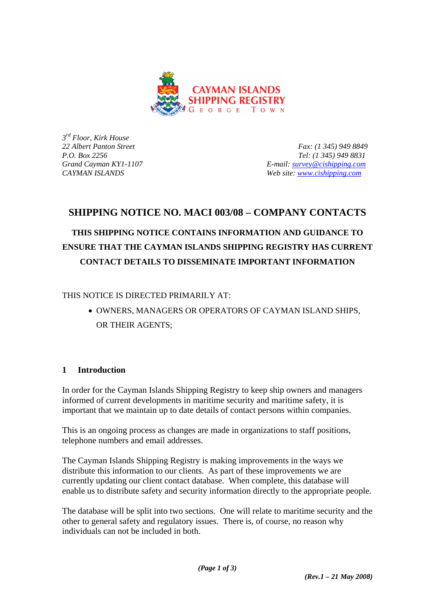

*3rd Floor, Kirk House* 

*22 Albert Panton Street Fax: (1 345) 949 8849 P.O. Box 2256 Tel: (1 345) 949 8831 Grand Cayman KY1-1107 E-mail: [survey@cishipping.com](mailto:survey@cishipping.com) CAYMAN ISLANDS Web site: [www.cishipping.com](http://www.cishipping.com/)*

## **SHIPPING NOTICE NO. MACI 003/08 – COMPANY CONTACTS**

# **THIS SHIPPING NOTICE CONTAINS INFORMATION AND GUIDANCE TO ENSURE THAT THE CAYMAN ISLANDS SHIPPING REGISTRY HAS CURRENT CONTACT DETAILS TO DISSEMINATE IMPORTANT INFORMATION**

THIS NOTICE IS DIRECTED PRIMARILY AT:

• OWNERS, MANAGERS OR OPERATORS OF CAYMAN ISLAND SHIPS, OR THEIR AGENTS;

### **1 Introduction**

In order for the Cayman Islands Shipping Registry to keep ship owners and managers informed of current developments in maritime security and maritime safety, it is important that we maintain up to date details of contact persons within companies.

This is an ongoing process as changes are made in organizations to staff positions, telephone numbers and email addresses.

The Cayman Islands Shipping Registry is making improvements in the ways we distribute this information to our clients. As part of these improvements we are currently updating our client contact database. When complete, this database will enable us to distribute safety and security information directly to the appropriate people.

The database will be split into two sections. One will relate to maritime security and the other to general safety and regulatory issues. There is, of course, no reason why individuals can not be included in both.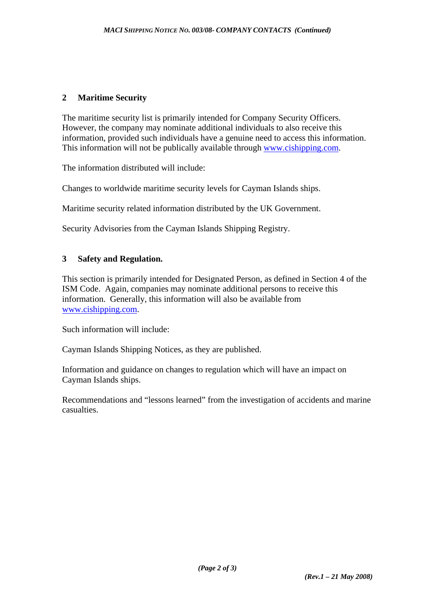#### **2 Maritime Security**

The maritime security list is primarily intended for Company Security Officers. However, the company may nominate additional individuals to also receive this information, provided such individuals have a genuine need to access this information. This information will not be publically available through [www.cishipping.com.](http://www.cishipping.com/)

The information distributed will include:

Changes to worldwide maritime security levels for Cayman Islands ships.

Maritime security related information distributed by the UK Government.

Security Advisories from the Cayman Islands Shipping Registry.

#### **3 Safety and Regulation.**

This section is primarily intended for Designated Person, as defined in Section 4 of the ISM Code. Again, companies may nominate additional persons to receive this information. Generally, this information will also be available from [www.cishipping.com.](http://www.cishipping.com/)

Such information will include:

Cayman Islands Shipping Notices, as they are published.

Information and guidance on changes to regulation which will have an impact on Cayman Islands ships.

Recommendations and "lessons learned" from the investigation of accidents and marine casualties.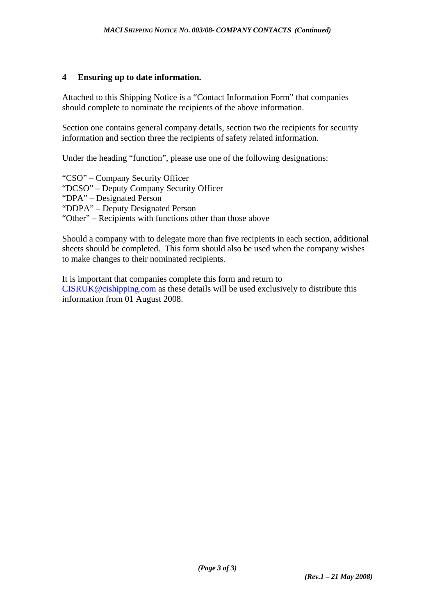#### **4 Ensuring up to date information.**

Attached to this Shipping Notice is a "Contact Information Form" that companies should complete to nominate the recipients of the above information.

Section one contains general company details, section two the recipients for security information and section three the recipients of safety related information.

Under the heading "function", please use one of the following designations:

"CSO" – Company Security Officer

"DCSO" – Deputy Company Security Officer

"DPA" – Designated Person

"DDPA" – Deputy Designated Person

"Other" – Recipients with functions other than those above

Should a company with to delegate more than five recipients in each section, additional sheets should be completed. This form should also be used when the company wishes to make changes to their nominated recipients.

It is important that companies complete this form and return to [CISRUK@cishipping.com](mailto:CISRUK@cishipping.com) as these details will be used exclusively to distribute this information from 01 August 2008.